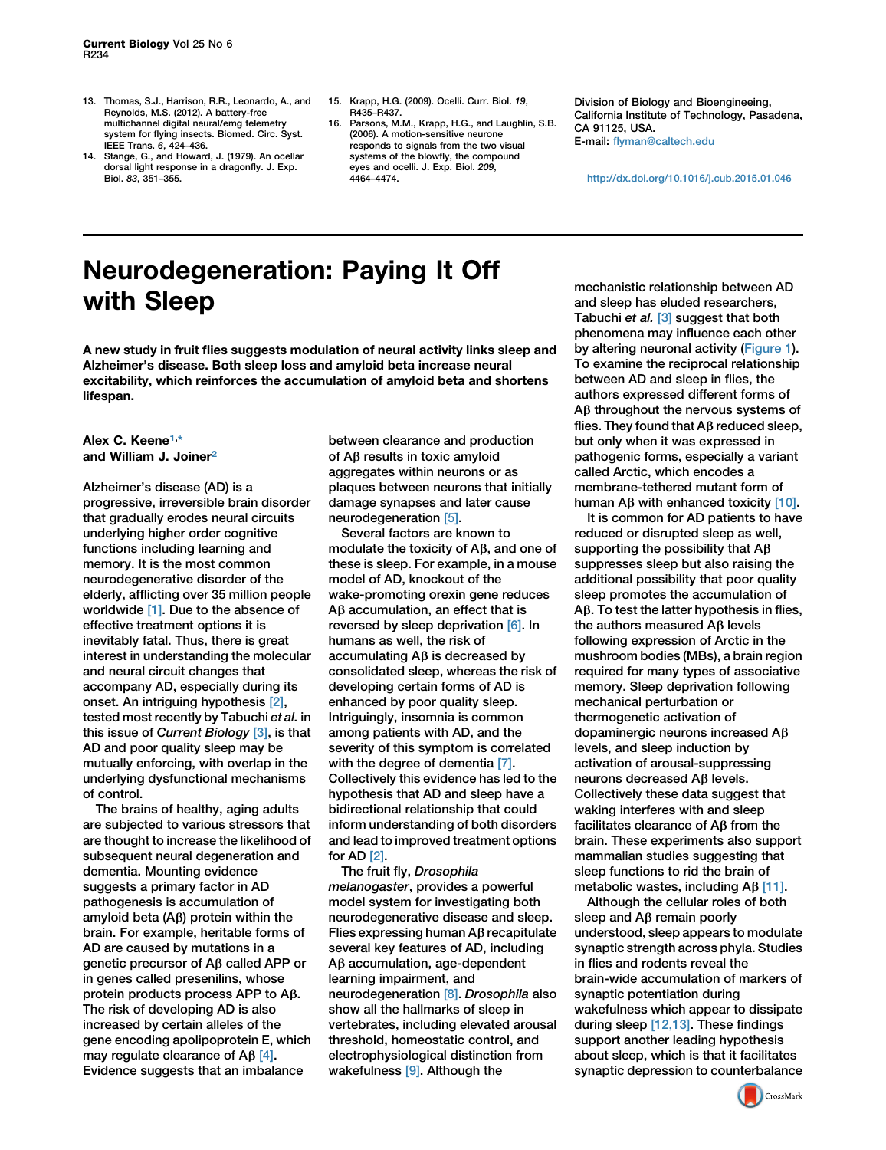- 13. Thomas, S.J., Harrison, R.R., Leonardo, A., and Reynolds, M.S. (2012). A battery-free multichannel digital neural/emg telemetry system for flying insects. Biomed. Circ. Syst.<br>IEEE Trans. 6. 424–436.
- IEEE Trans. 6, 424–436. 14. Stange, G., and Howard, J. (1979). An ocellar dorsal light response in a dragonfly. J. Exp. Biol. 83, 351–355.
- 15. Krapp, H.G. (2009). Ocelli. Curr. Biol. 19, R435–R437.
- 16. Parsons, M.M., Krapp, H.G., and Laughlin, S.B. (2006). A motion-sensitive neurone responds to signals from the two visual systems of the blowfly, the compound eyes and ocelli. J. Exp. Biol. 209, 4464–4474.

Division of Biology and Bioengineeing, California Institute of Technology, Pasadena, CA 91125, USA. E-mail: [flyman@caltech.edu](mailto:flyman@caltech.edu)

<http://dx.doi.org/10.1016/j.cub.2015.01.046>

## Neurodegeneration: Paying It Off with Sleep

A new study in fruit flies suggests modulation of neural activity links sleep and Alzheimer's disease. Both sleep loss and amyloid beta increase neural excitability, which reinforces the accumulation of amyloid beta and shortens lifespan.

## Alex C. Keene<sup>[1](#page-2-0),[\\*](#page-2-1)</sup> and William J. Joiner<sup>[2](#page-2-2)</sup>

Alzheimer's disease (AD) is a progressive, irreversible brain disorder that gradually erodes neural circuits underlying higher order cognitive functions including learning and memory. It is the most common neurodegenerative disorder of the elderly, afflicting over 35 million people worldwide [\[1\]](#page-2-3). Due to the absence of effective treatment options it is inevitably fatal. Thus, there is great interest in understanding the molecular and neural circuit changes that accompany AD, especially during its onset. An intriguing hypothesis [\[2\]](#page-2-4), tested most recently by Tabuchi et al. in this issue of Current Biology [\[3\]](#page-2-5), is that AD and poor quality sleep may be mutually enforcing, with overlap in the underlying dysfunctional mechanisms of control.

The brains of healthy, aging adults are subjected to various stressors that are thought to increase the likelihood of subsequent neural degeneration and dementia. Mounting evidence suggests a primary factor in AD pathogenesis is accumulation of amyloid beta  $(A\beta)$  protein within the brain. For example, heritable forms of AD are caused by mutations in a genetic precursor of Ab called APP or in genes called presenilins, whose protein products process APP to Ab. The risk of developing AD is also increased by certain alleles of the gene encoding apolipoprotein E, which may regulate clearance of  $AB [4]$  $AB [4]$ . Evidence suggests that an imbalance

between clearance and production of Ab results in toxic amyloid aggregates within neurons or as plaques between neurons that initially damage synapses and later cause neurodegeneration [\[5\]](#page-2-7).

Several factors are known to modulate the toxicity of  $A\beta$ , and one of these is sleep. For example, in a mouse model of AD, knockout of the wake-promoting orexin gene reduces  $A\beta$  accumulation, an effect that is reversed by sleep deprivation [\[6\]](#page-2-8). In humans as well, the risk of accumulating  $A\beta$  is decreased by consolidated sleep, whereas the risk of developing certain forms of AD is enhanced by poor quality sleep. Intriguingly, insomnia is common among patients with AD, and the severity of this symptom is correlated with the degree of dementia [\[7\].](#page-2-9) Collectively this evidence has led to the hypothesis that AD and sleep have a bidirectional relationship that could inform understanding of both disorders and lead to improved treatment options for AD [\[2\].](#page-2-4)

The fruit fly, Drosophila melanogaster, provides a powerful model system for investigating both neurodegenerative disease and sleep. Flies expressing human  $\mathsf{A}\beta$  recapitulate several key features of AD, including Aβ accumulation, age-dependent learning impairment, and neurodegeneration [\[8\]](#page-2-10). Drosophila also show all the hallmarks of sleep in vertebrates, including elevated arousal threshold, homeostatic control, and electrophysiological distinction from wakefulness [\[9\].](#page-2-11) Although the

mechanistic relationship between AD and sleep has eluded researchers, Tabuchi et al. [\[3\]](#page-2-5) suggest that both phenomena may influence each other by altering neuronal activity ([Figure 1](#page-1-0)). To examine the reciprocal relationship between AD and sleep in flies, the authors expressed different forms of A<sub>B</sub> throughout the nervous systems of flies. They found that  $AB$  reduced sleep, but only when it was expressed in pathogenic forms, especially a variant called Arctic, which encodes a membrane-tethered mutant form of human A $\beta$  with enhanced toxicity [\[10\]](#page-2-12).

It is common for AD patients to have reduced or disrupted sleep as well, supporting the possibility that  $AB$ suppresses sleep but also raising the additional possibility that poor quality sleep promotes the accumulation of  $A\beta$ . To test the latter hypothesis in flies, the authors measured  $AB$  levels following expression of Arctic in the mushroom bodies (MBs), a brain region required for many types of associative memory. Sleep deprivation following mechanical perturbation or thermogenetic activation of dopaminergic neurons increased Ab levels, and sleep induction by activation of arousal-suppressing neurons decreased Ab levels. Collectively these data suggest that waking interferes with and sleep facilitates clearance of  $AB$  from the brain. These experiments also support mammalian studies suggesting that sleep functions to rid the brain of metabolic wastes, including Ab [\[11\]](#page-2-13).

Although the cellular roles of both sleep and  $\mathsf{A}\beta$  remain poorly understood, sleep appears to modulate synaptic strength across phyla. Studies in flies and rodents reveal the brain-wide accumulation of markers of synaptic potentiation during wakefulness which appear to dissipate during sleep [\[12,13\]](#page-2-14). These findings support another leading hypothesis about sleep, which is that it facilitates synaptic depression to counterbalance

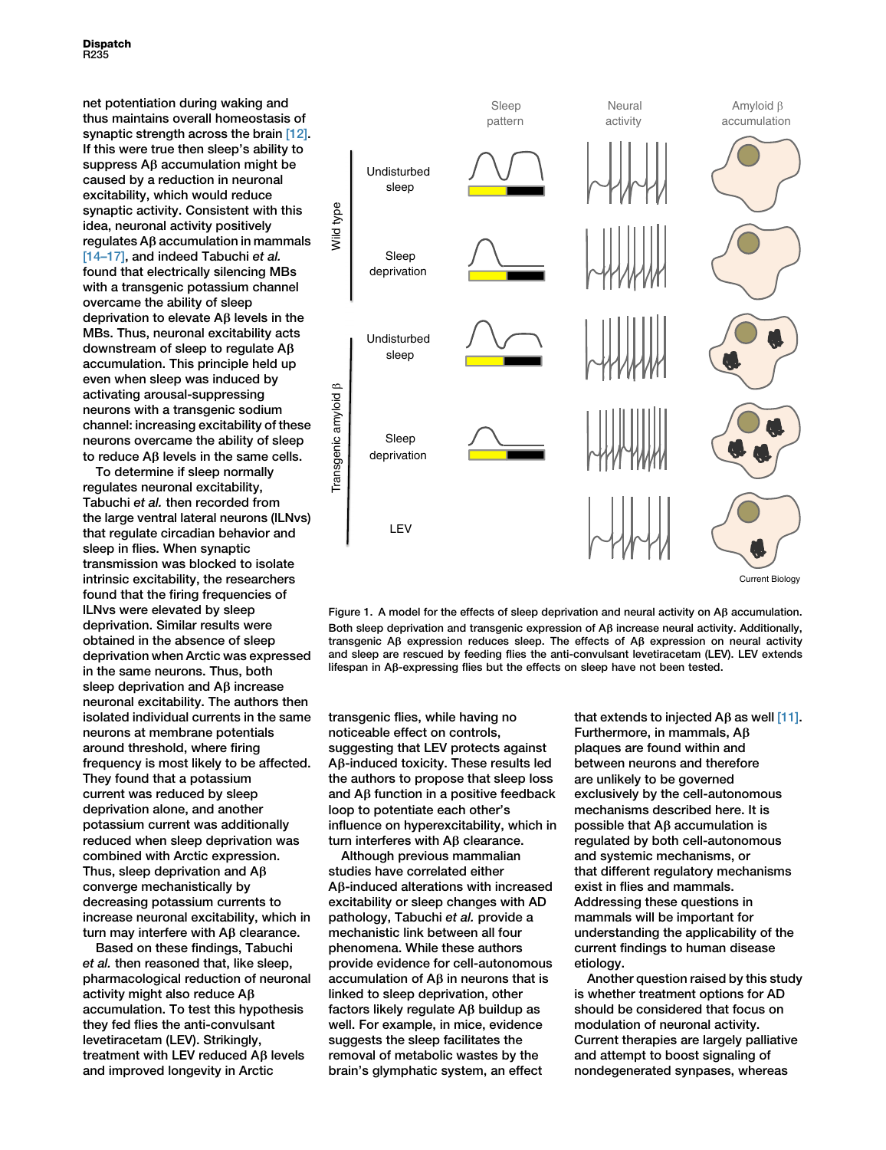<span id="page-1-0"></span>net potentiation during waking and thus maintains overall homeostasis of synaptic strength across the brain [\[12\]](#page-2-14). If this were true then sleep's ability to suppress  $AB$  accumulation might be caused by a reduction in neuronal excitability, which would reduce synaptic activity. Consistent with this idea, neuronal activity positively  $regulates AB$  accumulation in mammals [14-17], and indeed Tabuchi et al. found that electrically silencing MBs with a transgenic potassium channel overcame the ability of sleep deprivation to elevate  $\mathsf{A}\beta$  levels in the MBs. Thus, neuronal excitability acts downstream of sleep to regulate Ab accumulation. This principle held up even when sleep was induced by activating arousal-suppressing neurons with a transgenic sodium channel: increasing excitability of these neurons overcame the ability of sleep to reduce  $AB$  levels in the same cells.

To determine if sleep normally regulates neuronal excitability, Tabuchi et al. then recorded from the large ventral lateral neurons (lLNvs) that regulate circadian behavior and sleep in flies. When synaptic transmission was blocked to isolate intrinsic excitability, the researchers found that the firing frequencies of lLNvs were elevated by sleep deprivation. Similar results were obtained in the absence of sleep deprivation when Arctic was expressed in the same neurons. Thus, both sleep deprivation and A<sub>B</sub> increase neuronal excitability. The authors then isolated individual currents in the same neurons at membrane potentials around threshold, where firing frequency is most likely to be affected. They found that a potassium current was reduced by sleep deprivation alone, and another potassium current was additionally reduced when sleep deprivation was combined with Arctic expression. Thus, sleep deprivation and  $AB$ converge mechanistically by decreasing potassium currents to increase neuronal excitability, which in turn may interfere with  $\mathsf{A}\beta$  clearance.

Based on these findings, Tabuchi et al. then reasoned that, like sleep, pharmacological reduction of neuronal activity might also reduce Ab accumulation. To test this hypothesis they fed flies the anti-convulsant levetiracetam (LEV). Strikingly, treatment with LEV reduced A<sub>B</sub> levels and improved longevity in Arctic



Figure 1. A model for the effects of sleep deprivation and neural activity on  $\mathsf{A}\beta$  accumulation. Both sleep deprivation and transgenic expression of  $\mathsf{A}\beta$  increase neural activity. Additionally, transgenic A $\beta$  expression reduces sleep. The effects of A $\beta$  expression on neural activity and sleep are rescued by feeding flies the anti-convulsant levetiracetam (LEV). LEV extends lifespan in  $A\beta$ -expressing flies but the effects on sleep have not been tested.

transgenic flies, while having no noticeable effect on controls, suggesting that LEV protects against Ab-induced toxicity. These results led the authors to propose that sleep loss and  $\overline{AB}$  function in a positive feedback loop to potentiate each other's influence on hyperexcitability, which in turn interferes with  $\mathsf{AB}$  clearance.

Although previous mammalian studies have correlated either Ab-induced alterations with increased excitability or sleep changes with AD pathology, Tabuchi et al. provide a mechanistic link between all four phenomena. While these authors provide evidence for cell-autonomous accumulation of  $A\beta$  in neurons that is linked to sleep deprivation, other factors likely regulate  $\mathsf{A}\beta$  buildup as well. For example, in mice, evidence suggests the sleep facilitates the removal of metabolic wastes by the brain's glymphatic system, an effect

that extends to injected  $\text{AB}$  as well [\[11\]](#page-2-13). Furthermore, in mammals, Ab plaques are found within and between neurons and therefore are unlikely to be governed exclusively by the cell-autonomous mechanisms described here. It is possible that  $A\beta$  accumulation is regulated by both cell-autonomous and systemic mechanisms, or that different regulatory mechanisms exist in flies and mammals. Addressing these questions in mammals will be important for understanding the applicability of the current findings to human disease etiology.

Another question raised by this study is whether treatment options for AD should be considered that focus on modulation of neuronal activity. Current therapies are largely palliative and attempt to boost signaling of nondegenerated synpases, whereas